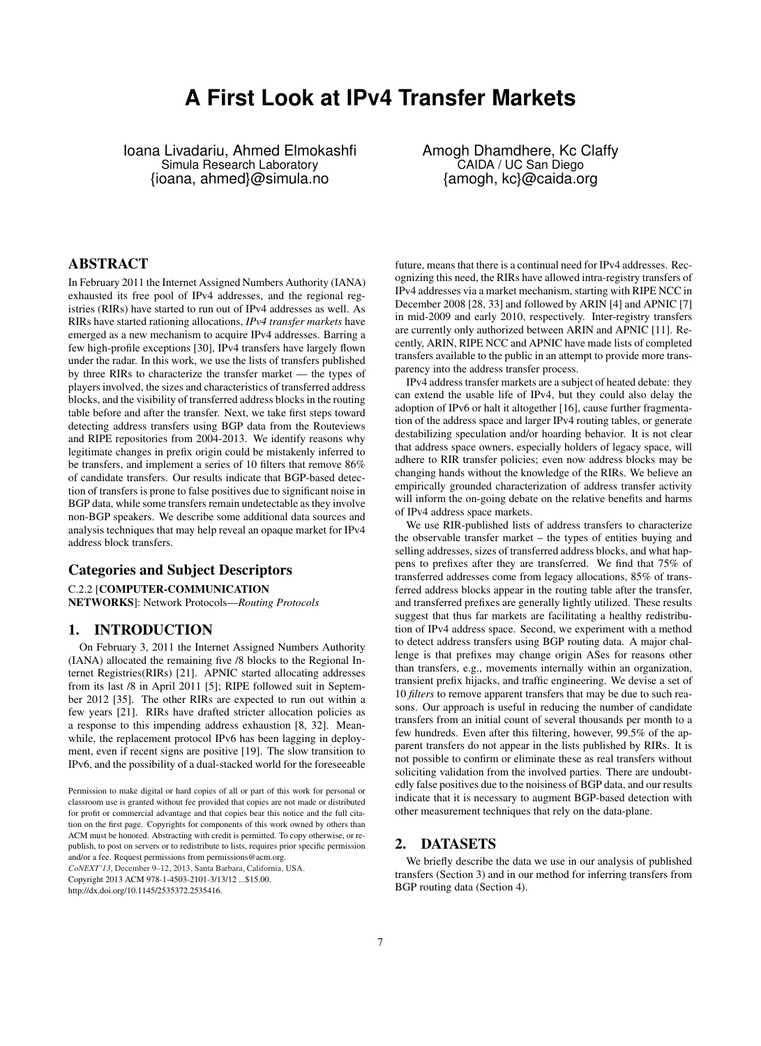# **A First Look at IPv4 Transfer Markets**

Ioana Livadariu, Ahmed Elmokashfi Simula Research Laboratory {ioana, ahmed}@simula.no

Amogh Dhamdhere, Kc Claffy CAIDA / UC San Diego {amogh, kc}@caida.org

# ABSTRACT

In February 2011 the Internet Assigned Numbers Authority (IANA) exhausted its free pool of IPv4 addresses, and the regional registries (RIRs) have started to run out of IPv4 addresses as well. As RIRs have started rationing allocations, *IPv4 transfer markets* have emerged as a new mechanism to acquire IPv4 addresses. Barring a few high-profile exceptions [30], IPv4 transfers have largely flown under the radar. In this work, we use the lists of transfers published by three RIRs to characterize the transfer market — the types of players involved, the sizes and characteristics of transferred address blocks, and the visibility of transferred address blocks in the routing table before and after the transfer. Next, we take first steps toward detecting address transfers using BGP data from the Routeviews and RIPE repositories from 2004-2013. We identify reasons why legitimate changes in prefix origin could be mistakenly inferred to be transfers, and implement a series of 10 filters that remove 86% of candidate transfers. Our results indicate that BGP-based detection of transfers is prone to false positives due to significant noise in BGP data, while some transfers remain undetectable as they involve non-BGP speakers. We describe some additional data sources and analysis techniques that may help reveal an opaque market for IPv4 address block transfers.

## Categories and Subject Descriptors

C.2.2 [COMPUTER-COMMUNICATION

NETWORKS]: Network Protocols—*Routing Protocols*

# 1. INTRODUCTION

On February 3, 2011 the Internet Assigned Numbers Authority (IANA) allocated the remaining five /8 blocks to the Regional Internet Registries(RIRs) [21]. APNIC started allocating addresses from its last /8 in April 2011 [5]; RIPE followed suit in September 2012 [35]. The other RIRs are expected to run out within a few years [21]. RIRs have drafted stricter allocation policies as a response to this impending address exhaustion [8, 32]. Meanwhile, the replacement protocol IPv6 has been lagging in deployment, even if recent signs are positive [19]. The slow transition to IPv6, and the possibility of a dual-stacked world for the foreseeable

Copyright 2013 ACM 978-1-4503-2101-3/13/12 ...\$15.00. *CoNEXT'13,* December 9–12, 2013, Santa Barbara, California, USA.

http://dx.doi.org/10.1145/2535372.2535416.

future, means that there is a continual need for IPv4 addresses. Recognizing this need, the RIRs have allowed intra-registry transfers of IPv4 addresses via a market mechanism, starting with RIPE NCC in December 2008 [28, 33] and followed by ARIN [4] and APNIC [7] in mid-2009 and early 2010, respectively. Inter-registry transfers are currently only authorized between ARIN and APNIC [11]. Recently, ARIN, RIPE NCC and APNIC have made lists of completed transfers available to the public in an attempt to provide more transparency into the address transfer process.

IPv4 address transfer markets are a subject of heated debate: they can extend the usable life of IPv4, but they could also delay the adoption of IPv6 or halt it altogether [16], cause further fragmentation of the address space and larger IPv4 routing tables, or generate destabilizing speculation and/or hoarding behavior. It is not clear that address space owners, especially holders of legacy space, will adhere to RIR transfer policies; even now address blocks may be changing hands without the knowledge of the RIRs. We believe an empirically grounded characterization of address transfer activity will inform the on-going debate on the relative benefits and harms of IPv4 address space markets.

We use RIR-published lists of address transfers to characterize the observable transfer market – the types of entities buying and selling addresses, sizes of transferred address blocks, and what happens to prefixes after they are transferred. We find that 75% of transferred addresses come from legacy allocations, 85% of transferred address blocks appear in the routing table after the transfer, and transferred prefixes are generally lightly utilized. These results suggest that thus far markets are facilitating a healthy redistribution of IPv4 address space. Second, we experiment with a method to detect address transfers using BGP routing data. A major challenge is that prefixes may change origin ASes for reasons other than transfers, e.g., movements internally within an organization, transient prefix hijacks, and traffic engineering. We devise a set of 10 *filters* to remove apparent transfers that may be due to such reasons. Our approach is useful in reducing the number of candidate transfers from an initial count of several thousands per month to a few hundreds. Even after this filtering, however, 99.5% of the apparent transfers do not appear in the lists published by RIRs. It is not possible to confirm or eliminate these as real transfers without soliciting validation from the involved parties. There are undoubtedly false positives due to the noisiness of BGP data, and our results indicate that it is necessary to augment BGP-based detection with other measurement techniques that rely on the data-plane.

### 2. DATASETS

We briefly describe the data we use in our analysis of published transfers (Section 3) and in our method for inferring transfers from BGP routing data (Section 4).

Permission to make digital or hard copies of all or part of this work for personal or classroom use is granted without fee provided that copies are not made or distributed for profit or commercial advantage and that copies bear this notice and the full citation on the first page. Copyrights for components of this work owned by others than ACM must be honored. Abstracting with credit is permitted. To copy otherwise, or republish, to post on servers or to redistribute to lists, requires prior specific permission and/or a fee. Request permissions from permissions@acm.org.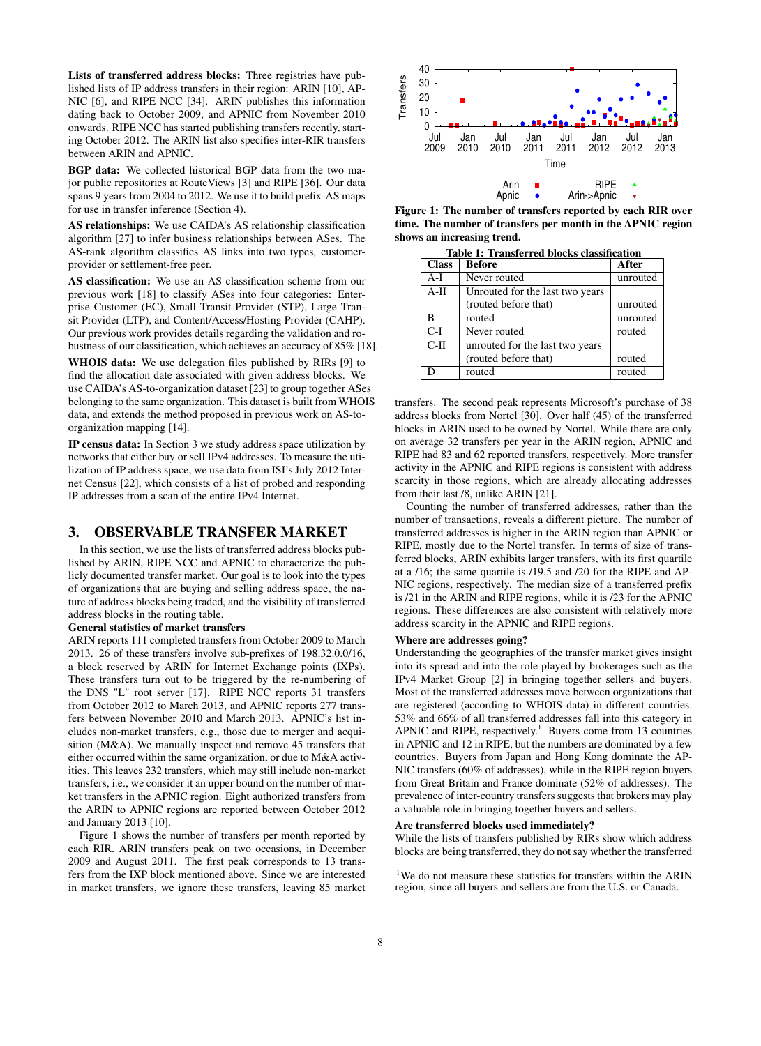Lists of transferred address blocks: Three registries have published lists of IP address transfers in their region: ARIN [10], AP-NIC [6], and RIPE NCC [34]. ARIN publishes this information dating back to October 2009, and APNIC from November 2010 onwards. RIPE NCC has started publishing transfers recently, starting October 2012. The ARIN list also specifies inter-RIR transfers between ARIN and APNIC.

BGP data: We collected historical BGP data from the two major public repositories at RouteViews [3] and RIPE [36]. Our data spans 9 years from 2004 to 2012. We use it to build prefix-AS maps for use in transfer inference (Section 4).

AS relationships: We use CAIDA's AS relationship classification algorithm [27] to infer business relationships between ASes. The AS-rank algorithm classifies AS links into two types, customerprovider or settlement-free peer.

AS classification: We use an AS classification scheme from our previous work [18] to classify ASes into four categories: Enterprise Customer (EC), Small Transit Provider (STP), Large Transit Provider (LTP), and Content/Access/Hosting Provider (CAHP). Our previous work provides details regarding the validation and robustness of our classification, which achieves an accuracy of 85% [18].

WHOIS data: We use delegation files published by RIRs [9] to find the allocation date associated with given address blocks. We use CAIDA's AS-to-organization dataset [23] to group together ASes belonging to the same organization. This dataset is built from WHOIS data, and extends the method proposed in previous work on AS-toorganization mapping [14].

IP census data: In Section 3 we study address space utilization by networks that either buy or sell IPv4 addresses. To measure the utilization of IP address space, we use data from ISI's July 2012 Internet Census [22], which consists of a list of probed and responding IP addresses from a scan of the entire IPv4 Internet.

# 3. OBSERVABLE TRANSFER MARKET

In this section, we use the lists of transferred address blocks published by ARIN, RIPE NCC and APNIC to characterize the publicly documented transfer market. Our goal is to look into the types of organizations that are buying and selling address space, the nature of address blocks being traded, and the visibility of transferred address blocks in the routing table.

### General statistics of market transfers

ARIN reports 111 completed transfers from October 2009 to March 2013. 26 of these transfers involve sub-prefixes of 198.32.0.0/16, a block reserved by ARIN for Internet Exchange points (IXPs). These transfers turn out to be triggered by the re-numbering of the DNS "L" root server [17]. RIPE NCC reports 31 transfers from October 2012 to March 2013, and APNIC reports 277 transfers between November 2010 and March 2013. APNIC's list includes non-market transfers, e.g., those due to merger and acquisition (M&A). We manually inspect and remove 45 transfers that either occurred within the same organization, or due to M&A activities. This leaves 232 transfers, which may still include non-market transfers, i.e., we consider it an upper bound on the number of market transfers in the APNIC region. Eight authorized transfers from the ARIN to APNIC regions are reported between October 2012 and January 2013 [10].

Figure 1 shows the number of transfers per month reported by each RIR. ARIN transfers peak on two occasions, in December 2009 and August 2011. The first peak corresponds to 13 transfers from the IXP block mentioned above. Since we are interested in market transfers, we ignore these transfers, leaving 85 market



Figure 1: The number of transfers reported by each RIR over time. The number of transfers per month in the APNIC region shows an increasing trend.

| Table 1. Transicricu biocks classification |                                 |          |  |
|--------------------------------------------|---------------------------------|----------|--|
| <b>Class</b>                               | Before                          | After    |  |
| $A-I$                                      | Never routed                    | unrouted |  |
| $A-II$                                     | Unrouted for the last two years |          |  |
|                                            | (routed before that)            | unrouted |  |
| B                                          | routed                          | unrouted |  |
| $C-I$                                      | Never routed                    | routed   |  |
| $C-II$                                     | unrouted for the last two years |          |  |
|                                            | (routed before that)            | routed   |  |
|                                            | routed                          | routed   |  |

Table 1: Transferred blocks classification

transfers. The second peak represents Microsoft's purchase of 38 address blocks from Nortel [30]. Over half (45) of the transferred blocks in ARIN used to be owned by Nortel. While there are only on average 32 transfers per year in the ARIN region, APNIC and RIPE had 83 and 62 reported transfers, respectively. More transfer activity in the APNIC and RIPE regions is consistent with address scarcity in those regions, which are already allocating addresses from their last /8, unlike ARIN [21].

Counting the number of transferred addresses, rather than the number of transactions, reveals a different picture. The number of transferred addresses is higher in the ARIN region than APNIC or RIPE, mostly due to the Nortel transfer. In terms of size of transferred blocks, ARIN exhibits larger transfers, with its first quartile at a /16; the same quartile is /19.5 and /20 for the RIPE and AP-NIC regions, respectively. The median size of a transferred prefix is /21 in the ARIN and RIPE regions, while it is /23 for the APNIC regions. These differences are also consistent with relatively more address scarcity in the APNIC and RIPE regions.

#### Where are addresses going?

Understanding the geographies of the transfer market gives insight into its spread and into the role played by brokerages such as the IPv4 Market Group [2] in bringing together sellers and buyers. Most of the transferred addresses move between organizations that are registered (according to WHOIS data) in different countries. 53% and 66% of all transferred addresses fall into this category in APNIC and RIPE, respectively.<sup>1</sup> Buyers come from 13 countries in APNIC and 12 in RIPE, but the numbers are dominated by a few countries. Buyers from Japan and Hong Kong dominate the AP-NIC transfers (60% of addresses), while in the RIPE region buyers from Great Britain and France dominate (52% of addresses). The prevalence of inter-country transfers suggests that brokers may play a valuable role in bringing together buyers and sellers.

#### Are transferred blocks used immediately?

While the lists of transfers published by RIRs show which address blocks are being transferred, they do not say whether the transferred

<sup>&</sup>lt;sup>1</sup>We do not measure these statistics for transfers within the ARIN region, since all buyers and sellers are from the U.S. or Canada.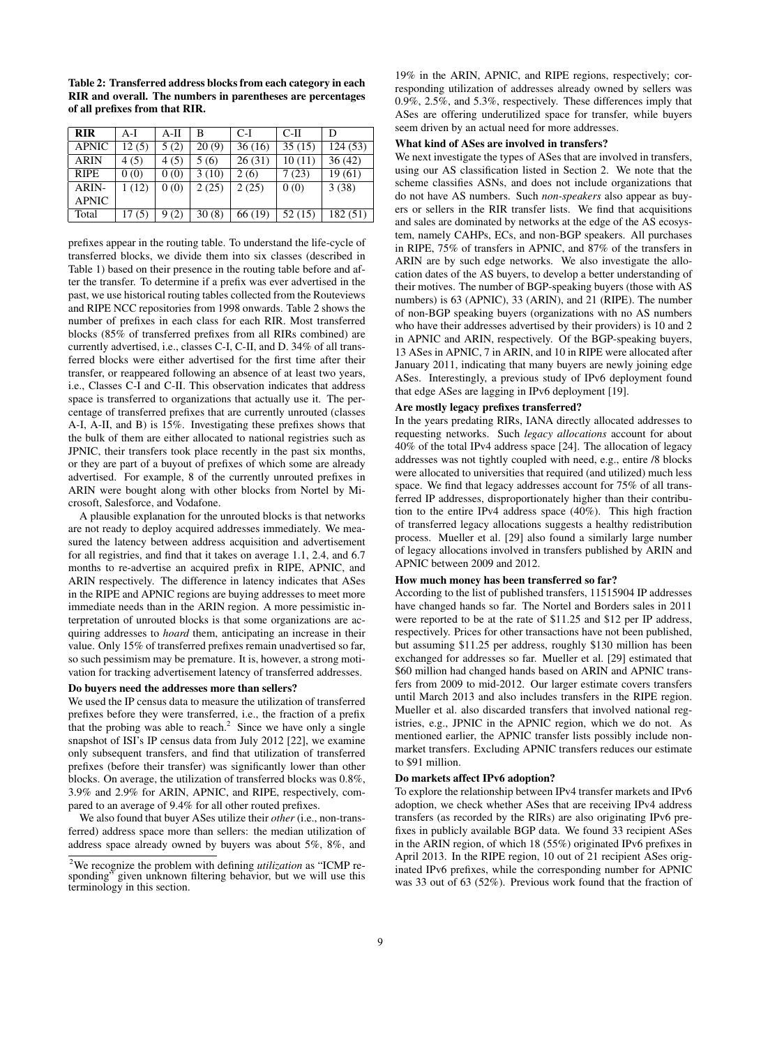Table 2: Transferred address blocks from each category in each RIR and overall. The numbers in parentheses are percentages of all prefixes from that RIR.

| <b>RIR</b>   | $A-I$ | $A-II$ | в     | $C-I$   | $C-II$ | D        |
|--------------|-------|--------|-------|---------|--------|----------|
| <b>APNIC</b> | 12(5) | 5(2)   | 20(9) | 36(16)  | 35(15) | 124 (53) |
| <b>ARIN</b>  | 4(5)  | 4(5)   | 5(6)  | 26(31)  | 10(11) | 36(42)   |
| <b>RIPE</b>  | 0(0)  | 0(0)   | 3(10) | 2(6)    | 7(23)  | 19(61)   |
| ARIN-        | 1(12) | 0(0)   | 2(25) | 2(25)   | 0(0)   | 3(38)    |
| <b>APNIC</b> |       |        |       |         |        |          |
| Total        | 17(5) | 9(2)   | 30(8) | 66 (19) | 52(15) | 182 (51) |

prefixes appear in the routing table. To understand the life-cycle of transferred blocks, we divide them into six classes (described in Table 1) based on their presence in the routing table before and after the transfer. To determine if a prefix was ever advertised in the past, we use historical routing tables collected from the Routeviews and RIPE NCC repositories from 1998 onwards. Table 2 shows the number of prefixes in each class for each RIR. Most transferred blocks (85% of transferred prefixes from all RIRs combined) are currently advertised, i.e., classes C-I, C-II, and D. 34% of all transferred blocks were either advertised for the first time after their transfer, or reappeared following an absence of at least two years, i.e., Classes C-I and C-II. This observation indicates that address space is transferred to organizations that actually use it. The percentage of transferred prefixes that are currently unrouted (classes A-I, A-II, and B) is 15%. Investigating these prefixes shows that the bulk of them are either allocated to national registries such as JPNIC, their transfers took place recently in the past six months, or they are part of a buyout of prefixes of which some are already advertised. For example, 8 of the currently unrouted prefixes in ARIN were bought along with other blocks from Nortel by Microsoft, Salesforce, and Vodafone.

A plausible explanation for the unrouted blocks is that networks are not ready to deploy acquired addresses immediately. We measured the latency between address acquisition and advertisement for all registries, and find that it takes on average 1.1, 2.4, and 6.7 months to re-advertise an acquired prefix in RIPE, APNIC, and ARIN respectively. The difference in latency indicates that ASes in the RIPE and APNIC regions are buying addresses to meet more immediate needs than in the ARIN region. A more pessimistic interpretation of unrouted blocks is that some organizations are acquiring addresses to *hoard* them, anticipating an increase in their value. Only 15% of transferred prefixes remain unadvertised so far, so such pessimism may be premature. It is, however, a strong motivation for tracking advertisement latency of transferred addresses.

#### Do buyers need the addresses more than sellers?

We used the IP census data to measure the utilization of transferred prefixes before they were transferred, i.e., the fraction of a prefix that the probing was able to reach.<sup>2</sup> Since we have only a single snapshot of ISI's IP census data from July 2012 [22], we examine only subsequent transfers, and find that utilization of transferred prefixes (before their transfer) was significantly lower than other blocks. On average, the utilization of transferred blocks was 0.8%, 3.9% and 2.9% for ARIN, APNIC, and RIPE, respectively, compared to an average of 9.4% for all other routed prefixes.

We also found that buyer ASes utilize their *other* (i.e., non-transferred) address space more than sellers: the median utilization of address space already owned by buyers was about 5%, 8%, and 19% in the ARIN, APNIC, and RIPE regions, respectively; corresponding utilization of addresses already owned by sellers was 0.9%, 2.5%, and 5.3%, respectively. These differences imply that ASes are offering underutilized space for transfer, while buyers seem driven by an actual need for more addresses.

#### What kind of ASes are involved in transfers?

We next investigate the types of ASes that are involved in transfers, using our AS classification listed in Section 2. We note that the scheme classifies ASNs, and does not include organizations that do not have AS numbers. Such *non-speakers* also appear as buyers or sellers in the RIR transfer lists. We find that acquisitions and sales are dominated by networks at the edge of the AS ecosystem, namely CAHPs, ECs, and non-BGP speakers. All purchases in RIPE, 75% of transfers in APNIC, and 87% of the transfers in ARIN are by such edge networks. We also investigate the allocation dates of the AS buyers, to develop a better understanding of their motives. The number of BGP-speaking buyers (those with AS numbers) is 63 (APNIC), 33 (ARIN), and 21 (RIPE). The number of non-BGP speaking buyers (organizations with no AS numbers who have their addresses advertised by their providers) is 10 and 2 in APNIC and ARIN, respectively. Of the BGP-speaking buyers, 13 ASes in APNIC, 7 in ARIN, and 10 in RIPE were allocated after January 2011, indicating that many buyers are newly joining edge ASes. Interestingly, a previous study of IPv6 deployment found that edge ASes are lagging in IPv6 deployment [19].

#### Are mostly legacy prefixes transferred?

In the years predating RIRs, IANA directly allocated addresses to requesting networks. Such *legacy allocations* account for about 40% of the total IPv4 address space [24]. The allocation of legacy addresses was not tightly coupled with need, e.g., entire /8 blocks were allocated to universities that required (and utilized) much less space. We find that legacy addresses account for 75% of all transferred IP addresses, disproportionately higher than their contribution to the entire IPv4 address space (40%). This high fraction of transferred legacy allocations suggests a healthy redistribution process. Mueller et al. [29] also found a similarly large number of legacy allocations involved in transfers published by ARIN and APNIC between 2009 and 2012.

#### How much money has been transferred so far?

According to the list of published transfers, 11515904 IP addresses have changed hands so far. The Nortel and Borders sales in 2011 were reported to be at the rate of \$11.25 and \$12 per IP address, respectively. Prices for other transactions have not been published, but assuming \$11.25 per address, roughly \$130 million has been exchanged for addresses so far. Mueller et al. [29] estimated that \$60 million had changed hands based on ARIN and APNIC transfers from 2009 to mid-2012. Our larger estimate covers transfers until March 2013 and also includes transfers in the RIPE region. Mueller et al. also discarded transfers that involved national registries, e.g., JPNIC in the APNIC region, which we do not. As mentioned earlier, the APNIC transfer lists possibly include nonmarket transfers. Excluding APNIC transfers reduces our estimate to \$91 million.

#### Do markets affect IPv6 adoption?

To explore the relationship between IPv4 transfer markets and IPv6 adoption, we check whether ASes that are receiving IPv4 address transfers (as recorded by the RIRs) are also originating IPv6 prefixes in publicly available BGP data. We found 33 recipient ASes in the ARIN region, of which 18 (55%) originated IPv6 prefixes in April 2013. In the RIPE region, 10 out of 21 recipient ASes originated IPv6 prefixes, while the corresponding number for APNIC was 33 out of 63 (52%). Previous work found that the fraction of

<sup>2</sup> We recognize the problem with defining *utilization* as "ICMP responding" given unknown filtering behavior, but we will use this terminology in this section.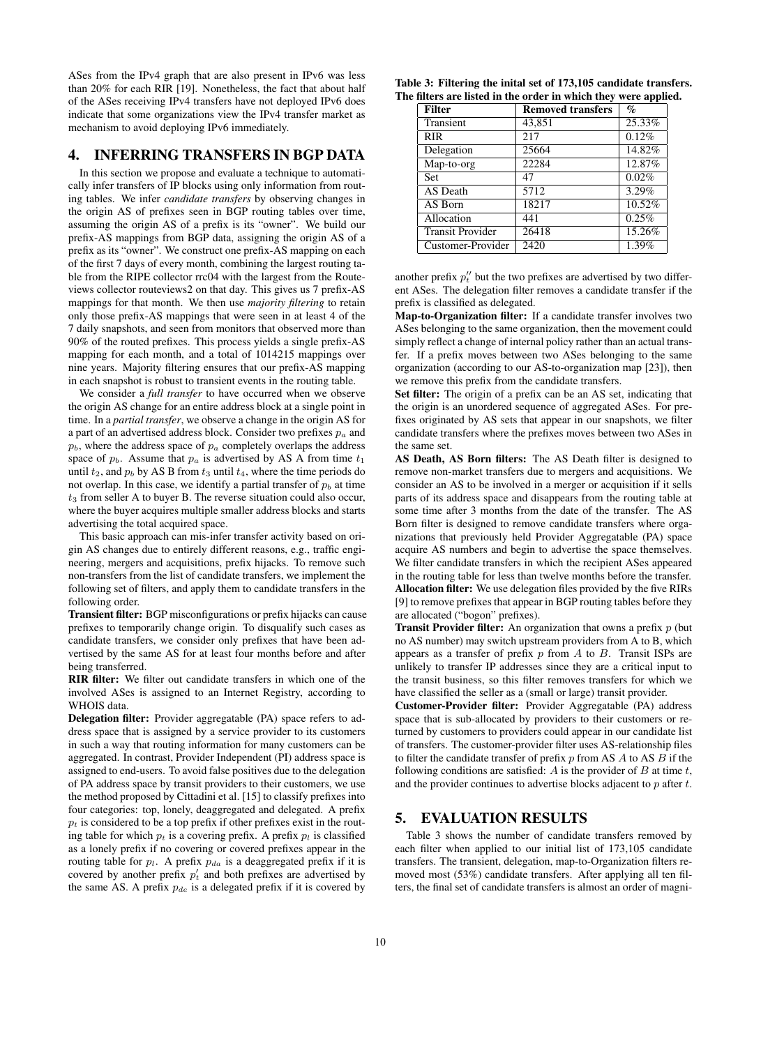ASes from the IPv4 graph that are also present in IPv6 was less than 20% for each RIR [19]. Nonetheless, the fact that about half of the ASes receiving IPv4 transfers have not deployed IPv6 does indicate that some organizations view the IPv4 transfer market as mechanism to avoid deploying IPv6 immediately.

## 4. INFERRING TRANSFERS IN BGP DATA

In this section we propose and evaluate a technique to automatically infer transfers of IP blocks using only information from routing tables. We infer *candidate transfers* by observing changes in the origin AS of prefixes seen in BGP routing tables over time, assuming the origin AS of a prefix is its "owner". We build our prefix-AS mappings from BGP data, assigning the origin AS of a prefix as its "owner". We construct one prefix-AS mapping on each of the first 7 days of every month, combining the largest routing table from the RIPE collector rrc04 with the largest from the Routeviews collector routeviews2 on that day. This gives us 7 prefix-AS mappings for that month. We then use *majority filtering* to retain only those prefix-AS mappings that were seen in at least 4 of the 7 daily snapshots, and seen from monitors that observed more than 90% of the routed prefixes. This process yields a single prefix-AS mapping for each month, and a total of 1014215 mappings over nine years. Majority filtering ensures that our prefix-AS mapping in each snapshot is robust to transient events in the routing table.

We consider a *full transfer* to have occurred when we observe the origin AS change for an entire address block at a single point in time. In a *partial transfer*, we observe a change in the origin AS for a part of an advertised address block. Consider two prefixes *p<sup>a</sup>* and  $p<sub>b</sub>$ , where the address space of  $p<sub>a</sub>$  completely overlaps the address space of  $p_b$ . Assume that  $p_a$  is advertised by AS A from time  $t_1$ until  $t_2$ , and  $p_b$  by AS B from  $t_3$  until  $t_4$ , where the time periods do not overlap. In this case, we identify a partial transfer of  $p<sub>b</sub>$  at time *t*<sup>3</sup> from seller A to buyer B. The reverse situation could also occur, where the buyer acquires multiple smaller address blocks and starts advertising the total acquired space.

This basic approach can mis-infer transfer activity based on origin AS changes due to entirely different reasons, e.g., traffic engineering, mergers and acquisitions, prefix hijacks. To remove such non-transfers from the list of candidate transfers, we implement the following set of filters, and apply them to candidate transfers in the following order.

Transient filter: BGP misconfigurations or prefix hijacks can cause prefixes to temporarily change origin. To disqualify such cases as candidate transfers, we consider only prefixes that have been advertised by the same AS for at least four months before and after being transferred.

RIR filter: We filter out candidate transfers in which one of the involved ASes is assigned to an Internet Registry, according to WHOIS data.

Delegation filter: Provider aggregatable (PA) space refers to address space that is assigned by a service provider to its customers in such a way that routing information for many customers can be aggregated. In contrast, Provider Independent (PI) address space is assigned to end-users. To avoid false positives due to the delegation of PA address space by transit providers to their customers, we use the method proposed by Cittadini et al. [15] to classify prefixes into four categories: top, lonely, deaggregated and delegated. A prefix  $p_t$  is considered to be a top prefix if other prefixes exist in the routing table for which  $p_t$  is a covering prefix. A prefix  $p_l$  is classified as a lonely prefix if no covering or covered prefixes appear in the routing table for  $p_l$ . A prefix  $p_{da}$  is a deaggregated prefix if it is covered by another prefix  $p_t$  and both prefixes are advertised by the same AS. A prefix  $p_{de}$  is a delegated prefix if it is covered by

| <b>Filter</b>           | <b>Removed transfers</b> | $\%$     |
|-------------------------|--------------------------|----------|
| Transient               | 43,851                   | 25.33%   |
| <b>RIR</b>              | 217                      | 0.12%    |
| Delegation              | 25664                    | 14.82%   |
| Map-to-org              | 22284                    | 12.87%   |
| <b>Set</b>              | 47                       | $0.02\%$ |
| AS Death                | 5712                     | 3.29%    |
| AS Born                 | 18217                    | 10.52%   |
| Allocation              | 441                      | 0.25%    |
| <b>Transit Provider</b> | 26418                    | 15.26%   |
| Customer-Provider       | 2420                     | 1.39%    |

| Table 3: Filtering the inital set of 173,105 candidate transfers. |  |
|-------------------------------------------------------------------|--|
| The filters are listed in the order in which they were applied.   |  |

another prefix  $p_t$ <sup> $\prime$ </sup> but the two prefixes are advertised by two different ASes. The delegation filter removes a candidate transfer if the prefix is classified as delegated.

Map-to-Organization filter: If a candidate transfer involves two ASes belonging to the same organization, then the movement could simply reflect a change of internal policy rather than an actual transfer. If a prefix moves between two ASes belonging to the same organization (according to our AS-to-organization map [23]), then we remove this prefix from the candidate transfers.

Set filter: The origin of a prefix can be an AS set, indicating that the origin is an unordered sequence of aggregated ASes. For prefixes originated by AS sets that appear in our snapshots, we filter candidate transfers where the prefixes moves between two ASes in the same set.

AS Death, AS Born filters: The AS Death filter is designed to remove non-market transfers due to mergers and acquisitions. We consider an AS to be involved in a merger or acquisition if it sells parts of its address space and disappears from the routing table at some time after 3 months from the date of the transfer. The AS Born filter is designed to remove candidate transfers where organizations that previously held Provider Aggregatable (PA) space acquire AS numbers and begin to advertise the space themselves. We filter candidate transfers in which the recipient ASes appeared in the routing table for less than twelve months before the transfer. Allocation filter: We use delegation files provided by the five RIRs [9] to remove prefixes that appear in BGP routing tables before they are allocated ("bogon" prefixes).

Transit Provider filter: An organization that owns a prefix *p* (but no AS number) may switch upstream providers from A to B, which appears as a transfer of prefix *p* from *A* to *B*. Transit ISPs are unlikely to transfer IP addresses since they are a critical input to the transit business, so this filter removes transfers for which we have classified the seller as a (small or large) transit provider.

Customer-Provider filter: Provider Aggregatable (PA) address space that is sub-allocated by providers to their customers or returned by customers to providers could appear in our candidate list of transfers. The customer-provider filter uses AS-relationship files to filter the candidate transfer of prefix *p* from AS *A* to AS *B* if the following conditions are satisfied: *A* is the provider of *B* at time *t*, and the provider continues to advertise blocks adjacent to *p* after *t*.

# 5. EVALUATION RESULTS

Table 3 shows the number of candidate transfers removed by each filter when applied to our initial list of 173,105 candidate transfers. The transient, delegation, map-to-Organization filters removed most (53%) candidate transfers. After applying all ten filters, the final set of candidate transfers is almost an order of magni-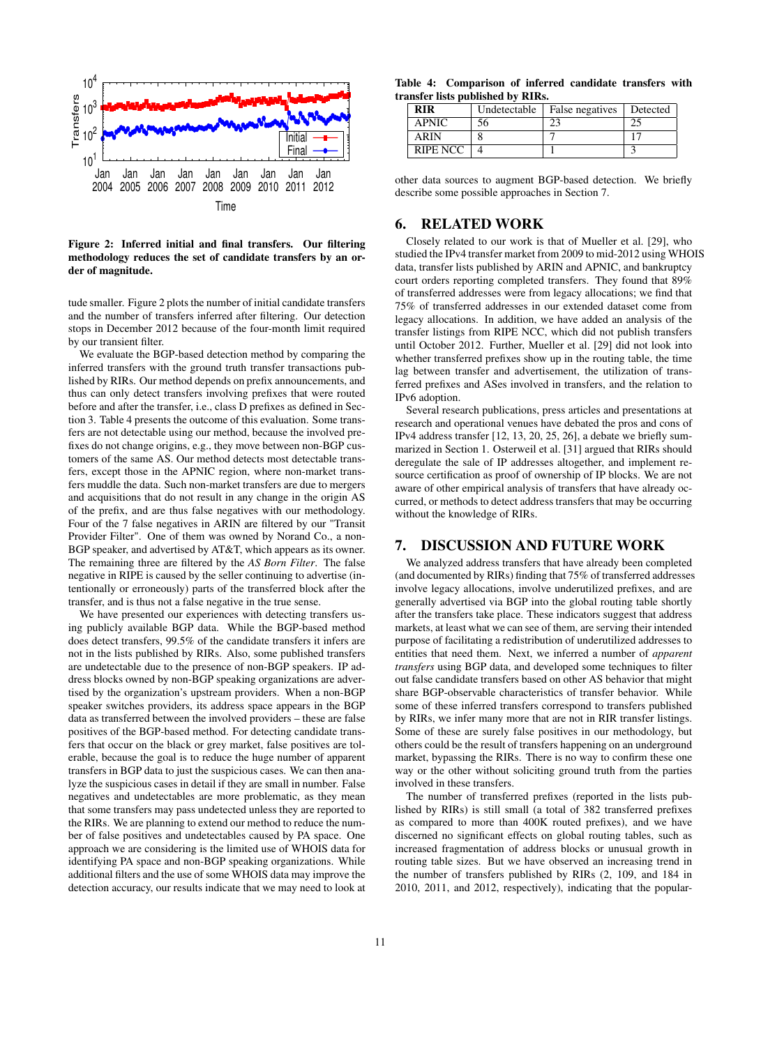

Figure 2: Inferred initial and final transfers. Our filtering methodology reduces the set of candidate transfers by an order of magnitude.

tude smaller. Figure 2 plots the number of initial candidate transfers and the number of transfers inferred after filtering. Our detection stops in December 2012 because of the four-month limit required by our transient filter.

We evaluate the BGP-based detection method by comparing the inferred transfers with the ground truth transfer transactions published by RIRs. Our method depends on prefix announcements, and thus can only detect transfers involving prefixes that were routed before and after the transfer, i.e., class D prefixes as defined in Section 3. Table 4 presents the outcome of this evaluation. Some transfers are not detectable using our method, because the involved prefixes do not change origins, e.g., they move between non-BGP customers of the same AS. Our method detects most detectable transfers, except those in the APNIC region, where non-market transfers muddle the data. Such non-market transfers are due to mergers and acquisitions that do not result in any change in the origin AS of the prefix, and are thus false negatives with our methodology. Four of the 7 false negatives in ARIN are filtered by our "Transit Provider Filter". One of them was owned by Norand Co., a non-BGP speaker, and advertised by AT&T, which appears as its owner. The remaining three are filtered by the *AS Born Filter*. The false negative in RIPE is caused by the seller continuing to advertise (intentionally or erroneously) parts of the transferred block after the transfer, and is thus not a false negative in the true sense.

We have presented our experiences with detecting transfers using publicly available BGP data. While the BGP-based method does detect transfers, 99.5% of the candidate transfers it infers are not in the lists published by RIRs. Also, some published transfers are undetectable due to the presence of non-BGP speakers. IP address blocks owned by non-BGP speaking organizations are advertised by the organization's upstream providers. When a non-BGP speaker switches providers, its address space appears in the BGP data as transferred between the involved providers – these are false positives of the BGP-based method. For detecting candidate transfers that occur on the black or grey market, false positives are tolerable, because the goal is to reduce the huge number of apparent transfers in BGP data to just the suspicious cases. We can then analyze the suspicious cases in detail if they are small in number. False negatives and undetectables are more problematic, as they mean that some transfers may pass undetected unless they are reported to the RIRs. We are planning to extend our method to reduce the number of false positives and undetectables caused by PA space. One approach we are considering is the limited use of WHOIS data for identifying PA space and non-BGP speaking organizations. While additional filters and the use of some WHOIS data may improve the detection accuracy, our results indicate that we may need to look at

Table 4: Comparison of inferred candidate transfers with transfer lists published by RIRs.

| <b>RIR</b>   | Undetectable | False negatives   Detected |  |
|--------------|--------------|----------------------------|--|
| <b>APNIC</b> | าก           |                            |  |
| <b>ARIN</b>  |              |                            |  |
| RIPE NCC     |              |                            |  |

other data sources to augment BGP-based detection. We briefly describe some possible approaches in Section 7.

# 6. RELATED WORK

Closely related to our work is that of Mueller et al. [29], who studied the IPv4 transfer market from 2009 to mid-2012 using WHOIS data, transfer lists published by ARIN and APNIC, and bankruptcy court orders reporting completed transfers. They found that 89% of transferred addresses were from legacy allocations; we find that 75% of transferred addresses in our extended dataset come from legacy allocations. In addition, we have added an analysis of the transfer listings from RIPE NCC, which did not publish transfers until October 2012. Further, Mueller et al. [29] did not look into whether transferred prefixes show up in the routing table, the time lag between transfer and advertisement, the utilization of transferred prefixes and ASes involved in transfers, and the relation to IPv6 adoption.

Several research publications, press articles and presentations at research and operational venues have debated the pros and cons of IPv4 address transfer [12, 13, 20, 25, 26], a debate we briefly summarized in Section 1. Osterweil et al. [31] argued that RIRs should deregulate the sale of IP addresses altogether, and implement resource certification as proof of ownership of IP blocks. We are not aware of other empirical analysis of transfers that have already occurred, or methods to detect address transfers that may be occurring without the knowledge of RIRs.

### 7. DISCUSSION AND FUTURE WORK

We analyzed address transfers that have already been completed (and documented by RIRs) finding that 75% of transferred addresses involve legacy allocations, involve underutilized prefixes, and are generally advertised via BGP into the global routing table shortly after the transfers take place. These indicators suggest that address markets, at least what we can see of them, are serving their intended purpose of facilitating a redistribution of underutilized addresses to entities that need them. Next, we inferred a number of *apparent transfers* using BGP data, and developed some techniques to filter out false candidate transfers based on other AS behavior that might share BGP-observable characteristics of transfer behavior. While some of these inferred transfers correspond to transfers published by RIRs, we infer many more that are not in RIR transfer listings. Some of these are surely false positives in our methodology, but others could be the result of transfers happening on an underground market, bypassing the RIRs. There is no way to confirm these one way or the other without soliciting ground truth from the parties involved in these transfers.

The number of transferred prefixes (reported in the lists published by RIRs) is still small (a total of 382 transferred prefixes as compared to more than 400K routed prefixes), and we have discerned no significant effects on global routing tables, such as increased fragmentation of address blocks or unusual growth in routing table sizes. But we have observed an increasing trend in the number of transfers published by RIRs (2, 109, and 184 in 2010, 2011, and 2012, respectively), indicating that the popular-